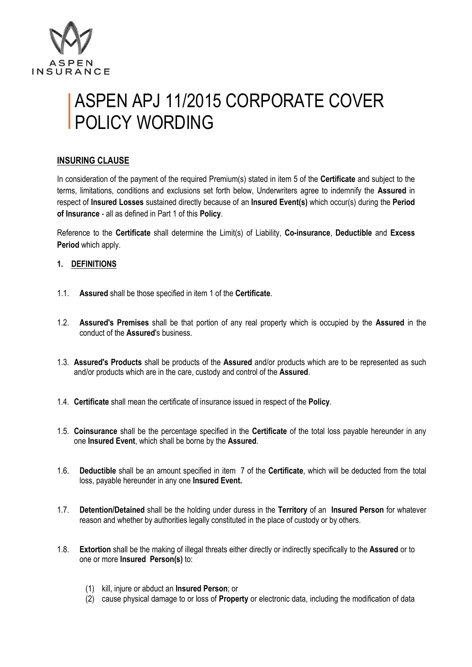

# ASPEN APJ 11/2015 CORPORATE COVER **POLICY WORDING**

## **INSURING CLAUSE**

In consideration of the payment of the required Premium(s) stated in item 5 of the **Certificate** and subject to the terms, limitations, conditions and exclusions set forth below, Underwriters agree to indemnify the **Assured** in respect of **Insured Losses** sustained directly because of an **Insured Event(s)** which occur(s) during the **Period of Insurance** - all as defined in Part 1 of this **Policy**.

Reference to the **Certificate** shall determine the Limit(s) of Liability, **Co-insurance**, **Deductible** and **Excess Period** which apply.

#### **1. DEFINITIONS**

- 1.1. **Assured** shall be those specified in item 1 of the **Certificate**.
- 1.2. **Assured's Premises** shall be that portion of any real property which is occupied by the **Assured** in the conduct of the **Assured**'s business.
- 1.3. **Assured's Products** shall be products of the **Assured** and/or products which are to be represented as such and/or products which are in the care, custody and control of the **Assured**.
- 1.4. **Certificate** shall mean the certificate of insurance issued in respect of the **Policy**.
- 1.5. **Coinsurance** shall be the percentage specified in the **Certificate** of the total loss payable hereunder in any one **Insured Event**, which shall be borne by the **Assured**.
- 1.6. **Deductible** shall be an amount specified in item 7 of the **Certificate**, which will be deducted from the total loss, payable hereunder in any one **Insured Event.**
- 1.7. **Detention/Detained** shall be the holding under duress in the **Territory** of an **Insured Person** for whatever reason and whether by authorities legally constituted in the place of custody or by others.
- 1.8. **Extortion** shall be the making of illegal threats either directly or indirectly specifically to the **Assured** or to one or more **Insured Person(s)** to:
	- (1) kill, injure or abduct an **Insured Person**; or
	- (2) cause physical damage to or loss of **Property** or electronic data, including the modification of data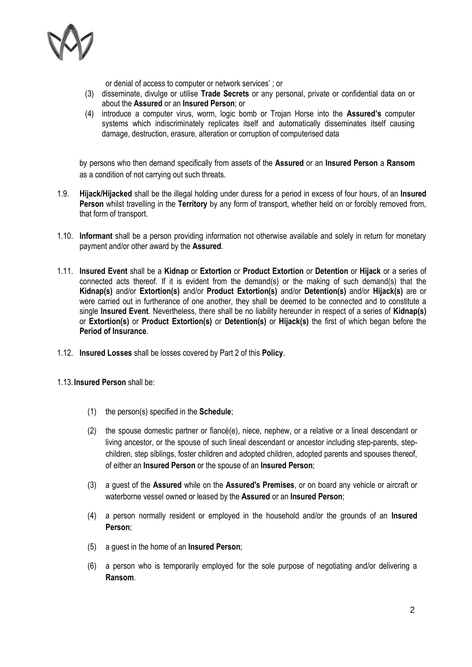

or denial of access to computer or network services' ; or

- (3) disseminate, divulge or utilise **Trade Secrets** or any personal, private or confidential data on or about the **Assured** or an **Insured Person**; or
- (4) introduce a computer virus, worm, logic bomb or Trojan Horse into the **Assured's** computer systems which indiscriminately replicates itself and automatically disseminates itself causing damage, destruction, erasure, alteration or corruption of computerised data

by persons who then demand specifically from assets of the **Assured** or an **Insured Person** a **Ransom** as a condition of not carrying out such threats.

- 1.9. **Hijack/Hijacked** shall be the illegal holding under duress for a period in excess of four hours, of an **Insured Person** whilst travelling in the **Territory** by any form of transport, whether held on or forcibly removed from, that form of transport.
- 1.10. **Informant** shall be a person providing information not otherwise available and solely in return for monetary payment and/or other award by the **Assured**.
- 1.11. **Insured Event** shall be a **Kidnap** or **Extortion** or **Product Extortion** or **Detention** or **Hijack** or a series of connected acts thereof. If it is evident from the demand(s) or the making of such demand(s) that the **Kidnap(s)** and/or **Extortion(s)** and/or **Product Extortion(s)** and/or **Detention(s)** and/or **Hijack(s)** are or were carried out in furtherance of one another, they shall be deemed to be connected and to constitute a single **Insured Event**. Nevertheless, there shall be no liability hereunder in respect of a series of **Kidnap(s)** or **Extortion(s)** or **Product Extortion(s)** or **Detention(s)** or **Hijack(s)** the first of which began before the **Period of Insurance**.
- 1.12. **Insured Losses** shall be losses covered by Part 2 of this **Policy**.
- 1.13.**Insured Person** shall be:
	- (1) the person(s) specified in the **Schedule**;
	- (2) the spouse domestic partner or fiancé(e), niece, nephew, or a relative or a lineal descendant or living ancestor, or the spouse of such lineal descendant or ancestor including step-parents, stepchildren, step siblings, foster children and adopted children, adopted parents and spouses thereof, of either an **Insured Person** or the spouse of an **Insured Person**;
	- (3) a guest of the **Assured** while on the **Assured's Premises**, or on board any vehicle or aircraft or waterborne vessel owned or leased by the **Assured** or an **Insured Person**;
	- (4) a person normally resident or employed in the household and/or the grounds of an **Insured Person**;
	- (5) a guest in the home of an **Insured Person**;
	- (6) a person who is temporarily employed for the sole purpose of negotiating and/or delivering a **Ransom**.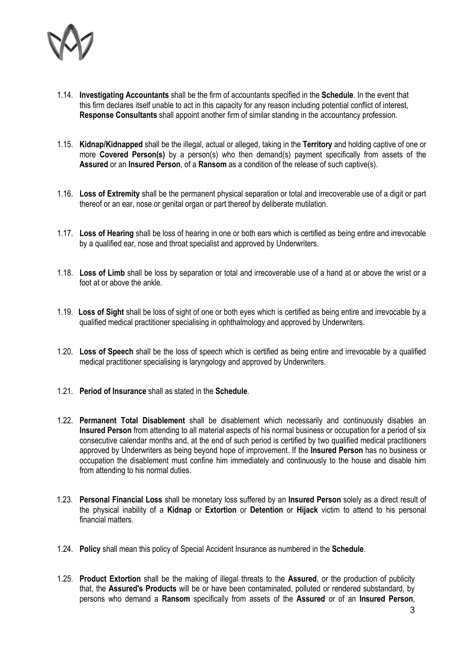

- 1.14. **Investigating Accountants** shall be the firm of accountants specified in the **Schedule**. In the event that this firm declares itself unable to act in this capacity for any reason including potential conflict of interest, **Response Consultants** shall appoint another firm of similar standing in the accountancy profession.
- 1.15. **Kidnap/Kidnapped** shall be the illegal, actual or alleged, taking in the **Territory** and holding captive of one or more **Covered Person(s)** by a person(s) who then demand(s) payment specifically from assets of the **Assured** or an **Insured Person**, of a **Ransom** as a condition of the release of such captive(s).
- 1.16. **Loss of Extremity** shall be the permanent physical separation or total and irrecoverable use of a digit or part thereof or an ear, nose or genital organ or part thereof by deliberate mutilation.
- 1.17. **Loss of Hearing** shall be loss of hearing in one or both ears which is certified as being entire and irrevocable by a qualified ear, nose and throat specialist and approved by Underwriters.
- 1.18. **Loss of Limb** shall be loss by separation or total and irrecoverable use of a hand at or above the wrist or a foot at or above the ankle.
- 1.19. **Loss of Sight** shall be loss of sight of one or both eyes which is certified as being entire and irrevocable by a qualified medical practitioner specialising in ophthalmology and approved by Underwriters.
- 1.20. **Loss of Speech** shall be the loss of speech which is certified as being entire and irrevocable by a qualified medical practitioner specialising is laryngology and approved by Underwriters.
- 1.21. **Period of Insurance** shall as stated in the **Schedule**.
- 1.22. **Permanent Total Disablement** shall be disablement which necessarily and continuously disables an **Insured Person** from attending to all material aspects of his normal business or occupation for a period of six consecutive calendar months and, at the end of such period is certified by two qualified medical practitioners approved by Underwriters as being beyond hope of improvement. If the **Insured Person** has no business or occupation the disablement must confine him immediately and continuously to the house and disable him from attending to his normal duties.
- 1.23. **Personal Financial Loss** shall be monetary loss suffered by an **Insured Person** solely as a direct result of the physical inability of a **Kidnap** or **Extortion** or **Detention** or **Hijack** victim to attend to his personal financial matters.
- 1.24. **Policy** shall mean this policy of Special Accident Insurance as numbered in the **Schedule**.
- 1.25. **Product Extortion** shall be the making of illegal threats to the **Assured**, or the production of publicity that, the **Assured's Products** will be or have been contaminated, polluted or rendered substandard, by persons who demand a **Ransom** specifically from assets of the **Assured** or of an **Insured Person**,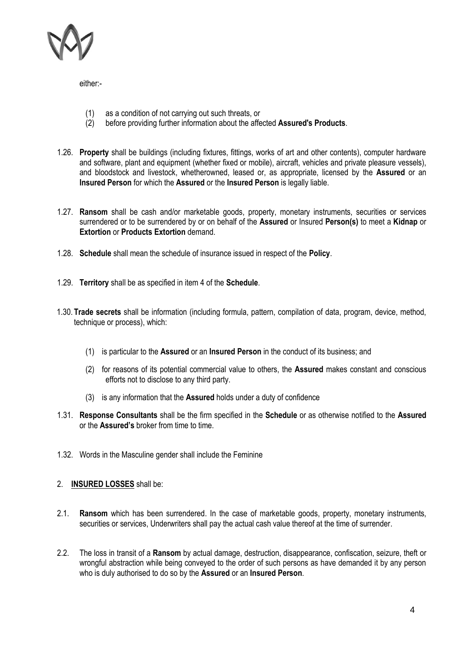

either:-

- (1) as a condition of not carrying out such threats, or
- (2) before providing further information about the affected **Assured's Products**.
- 1.26. **Property** shall be buildings (including fixtures, fittings, works of art and other contents), computer hardware and software, plant and equipment (whether fixed or mobile), aircraft, vehicles and private pleasure vessels), and bloodstock and livestock, whetherowned, leased or, as appropriate, licensed by the **Assured** or an **Insured Person** for which the **Assured** or the **Insured Person** is legally liable.
- 1.27. **Ransom** shall be cash and/or marketable goods, property, monetary instruments, securities or services surrendered or to be surrendered by or on behalf of the **Assured** or Insured **Person(s)** to meet a **Kidnap** or **Extortion** or **Products Extortion** demand.
- 1.28. **Schedule** shall mean the schedule of insurance issued in respect of the **Policy**.
- 1.29. **Territory** shall be as specified in item 4 of the **Schedule**.
- 1.30. **Trade secrets** shall be information (including formula, pattern, compilation of data, program, device, method, technique or process), which:
	- (1) is particular to the **Assured** or an **Insured Person** in the conduct of its business; and
	- (2) for reasons of its potential commercial value to others, the **Assured** makes constant and conscious efforts not to disclose to any third party.
	- (3) is any information that the **Assured** holds under a duty of confidence
- 1.31. **Response Consultants** shall be the firm specified in the **Schedule** or as otherwise notified to the **Assured** or the **Assured's** broker from time to time.
- 1.32. Words in the Masculine gender shall include the Feminine

#### 2. **INSURED LOSSES** shall be:

- 2.1. **Ransom** which has been surrendered. In the case of marketable goods, property, monetary instruments, securities or services, Underwriters shall pay the actual cash value thereof at the time of surrender.
- 2.2. The loss in transit of a **Ransom** by actual damage, destruction, disappearance, confiscation, seizure, theft or wrongful abstraction while being conveyed to the order of such persons as have demanded it by any person who is duly authorised to do so by the **Assured** or an **Insured Person**.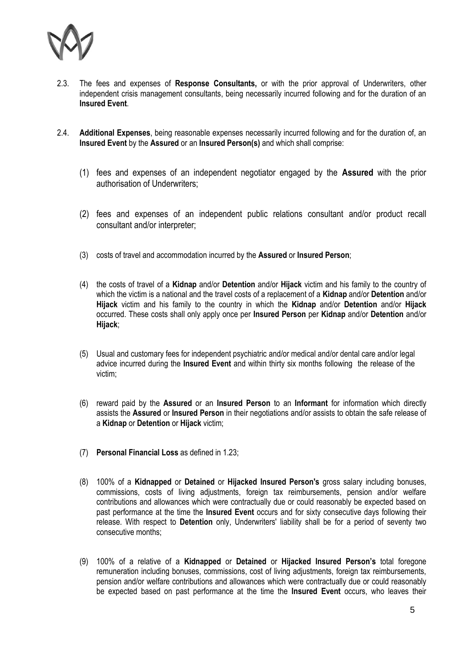

- 2.3. The fees and expenses of **Response Consultants,** or with the prior approval of Underwriters, other independent crisis management consultants, being necessarily incurred following and for the duration of an **Insured Event**.
- 2.4. **Additional Expenses**, being reasonable expenses necessarily incurred following and for the duration of, an **Insured Event** by the **Assured** or an **Insured Person(s)** and which shall comprise:
	- (1) fees and expenses of an independent negotiator engaged by the **Assured** with the prior authorisation of Underwriters;
	- (2) fees and expenses of an independent public relations consultant and/or product recall consultant and/or interpreter;
	- (3) costs of travel and accommodation incurred by the **Assured** or **Insured Person**;
	- (4) the costs of travel of a **Kidnap** and/or **Detention** and/or **Hijack** victim and his family to the country of which the victim is a national and the travel costs of a replacement of a **Kidnap** and/or **Detention** and/or **Hijack** victim and his family to the country in which the **Kidnap** and/or **Detention** and/or **Hijack**  occurred. These costs shall only apply once per **Insured Person** per **Kidnap** and/or **Detention** and/or **Hijack**;
	- (5) Usual and customary fees for independent psychiatric and/or medical and/or dental care and/or legal advice incurred during the **Insured Event** and within thirty six months following the release of the victim;
	- (6) reward paid by the **Assured** or an **Insured Person** to an **Informant** for information which directly assists the **Assured** or **Insured Person** in their negotiations and/or assists to obtain the safe release of a **Kidnap** or **Detention** or **Hijack** victim;
	- (7) **Personal Financial Loss** as defined in 1.23;
	- (8) 100% of a **Kidnapped** or **Detained** or **Hijacked Insured Person's** gross salary including bonuses, commissions, costs of living adjustments, foreign tax reimbursements, pension and/or welfare contributions and allowances which were contractually due or could reasonably be expected based on past performance at the time the **Insured Event** occurs and for sixty consecutive days following their release. With respect to **Detention** only, Underwriters' liability shall be for a period of seventy two consecutive months;
	- (9) 100% of a relative of a **Kidnapped** or **Detained** or **Hijacked Insured Person's** total foregone remuneration including bonuses, commissions, cost of living adjustments, foreign tax reimbursements, pension and/or welfare contributions and allowances which were contractually due or could reasonably be expected based on past performance at the time the **Insured Event** occurs, who leaves their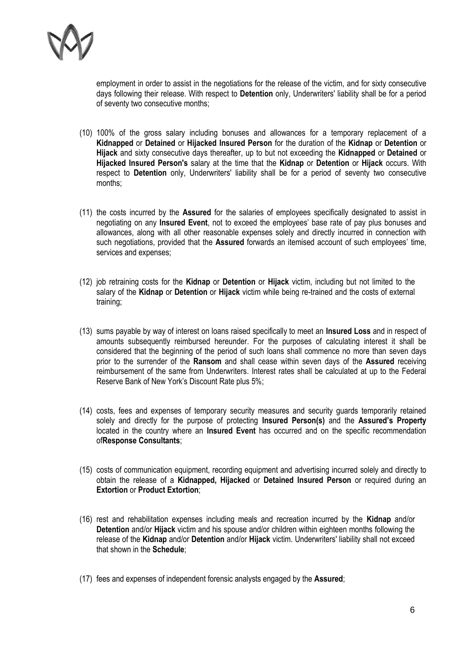

employment in order to assist in the negotiations for the release of the victim, and for sixty consecutive days following their release. With respect to **Detention** only, Underwriters' liability shall be for a period of seventy two consecutive months;

- (10) 100% of the gross salary including bonuses and allowances for a temporary replacement of a **Kidnapped** or **Detained** or **Hijacked Insured Person** for the duration of the **Kidnap** or **Detention** or **Hijack** and sixty consecutive days thereafter, up to but not exceeding the **Kidnapped** or **Detained** or **Hijacked Insured Person's** salary at the time that the **Kidnap** or **Detention** or **Hijack** occurs. With respect to **Detention** only, Underwriters' liability shall be for a period of seventy two consecutive months;
- (11) the costs incurred by the **Assured** for the salaries of employees specifically designated to assist in negotiating on any **Insured Event**, not to exceed the employees' base rate of pay plus bonuses and allowances, along with all other reasonable expenses solely and directly incurred in connection with such negotiations, provided that the **Assured** forwards an itemised account of such employees' time, services and expenses;
- (12) job retraining costs for the **Kidnap** or **Detention** or **Hijack** victim, including but not limited to the salary of the **Kidnap** or **Detention** or **Hijack** victim while being re-trained and the costs of external training;
- (13) sums payable by way of interest on loans raised specifically to meet an **Insured Loss** and in respect of amounts subsequently reimbursed hereunder. For the purposes of calculating interest it shall be considered that the beginning of the period of such loans shall commence no more than seven days prior to the surrender of the **Ransom** and shall cease within seven days of the **Assured** receiving reimbursement of the same from Underwriters. Interest rates shall be calculated at up to the Federal Reserve Bank of New York's Discount Rate plus 5%;
- (14) costs, fees and expenses of temporary security measures and security guards temporarily retained solely and directly for the purpose of protecting **Insured Person(s)** and the **Assured's Property** located in the country where an **Insured Event** has occurred and on the specific recommendation of**Response Consultants**;
- (15) costs of communication equipment, recording equipment and advertising incurred solely and directly to obtain the release of a **Kidnapped, Hijacked** or **Detained Insured Person** or required during an **Extortion or Product Extortion;**
- (16) rest and rehabilitation expenses including meals and recreation incurred by the **Kidnap** and/or **Detention** and/or **Hijack** victim and his spouse and/or children within eighteen months following the release of the **Kidnap** and/or **Detention** and/or **Hijack** victim. Underwriters' liability shall not exceed that shown in the **Schedule**;
- (17) fees and expenses of independent forensic analysts engaged by the **Assured**;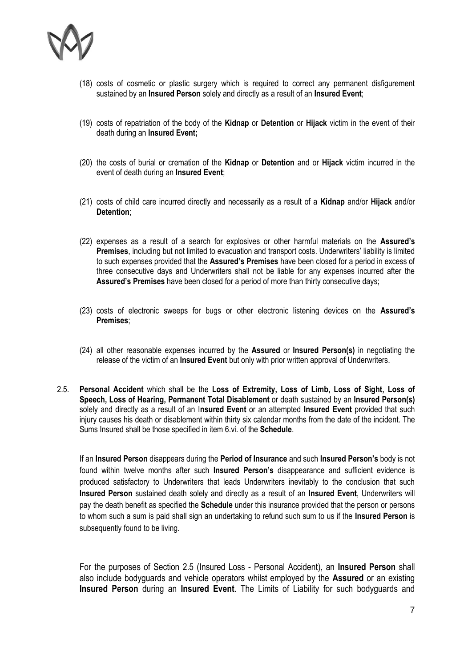

- (18) costs of cosmetic or plastic surgery which is required to correct any permanent disfigurement sustained by an **Insured Person** solely and directly as a result of an **Insured Event**;
- (19) costs of repatriation of the body of the **Kidnap** or **Detention** or **Hijack** victim in the event of their death during an **Insured Event;**
- (20) the costs of burial or cremation of the **Kidnap** or **Detention** and or **Hijack** victim incurred in the event of death during an **Insured Event**;
- (21) costs of child care incurred directly and necessarily as a result of a **Kidnap** and/or **Hijack** and/or **Detention**;
- (22) expenses as a result of a search for explosives or other harmful materials on the **Assured's Premises**, including but not limited to evacuation and transport costs. Underwriters' liability is limited to such expenses provided that the **Assured's Premises** have been closed for a period in excess of three consecutive days and Underwriters shall not be liable for any expenses incurred after the **Assured's Premises** have been closed for a period of more than thirty consecutive days;
- (23) costs of electronic sweeps for bugs or other electronic listening devices on the **Assured's Premises**;
- (24) all other reasonable expenses incurred by the **Assured** or **Insured Person(s)** in negotiating the release of the victim of an **Insured Event** but only with prior written approval of Underwriters.
- 2.5. **Personal Accident** which shall be the **Loss of Extremity, Loss of Limb, Loss of Sight, Loss of Speech, Loss of Hearing, Permanent Total Disablement** or death sustained by an **Insured Person(s)** solely and directly as a result of an I**nsured Event** or an attempted **Insured Event** provided that such injury causes his death or disablement within thirty six calendar months from the date of the incident. The Sums Insured shall be those specified in item 6.vi. of the **Schedule**.

If an **Insured Person** disappears during the **Period of Insurance** and such **Insured Person's** body is not found within twelve months after such **Insured Person's** disappearance and sufficient evidence is produced satisfactory to Underwriters that leads Underwriters inevitably to the conclusion that such **Insured Person** sustained death solely and directly as a result of an **Insured Event**, Underwriters will pay the death benefit as specified the **Schedule** under this insurance provided that the person or persons to whom such a sum is paid shall sign an undertaking to refund such sum to us if the **Insured Person** is subsequently found to be living.

For the purposes of Section 2.5 (Insured Loss - Personal Accident), an **Insured Person** shall also include bodyguards and vehicle operators whilst employed by the **Assured** or an existing **Insured Person** during an **Insured Event**. The Limits of Liability for such bodyguards and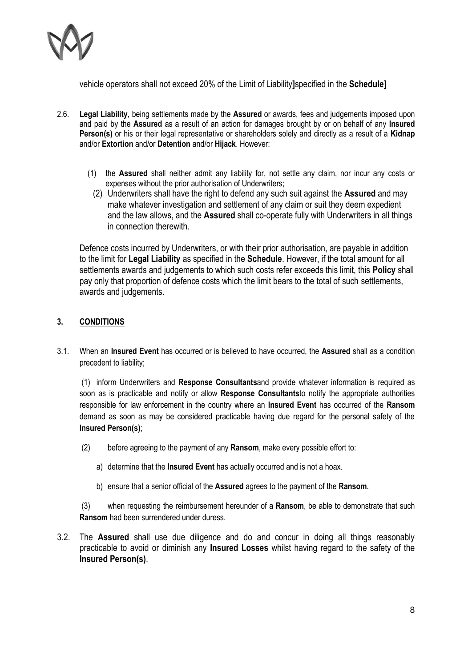

vehicle operators shall not exceed 20% of the Limit of Liability**]**specified in the **Schedule]**

- 2.6. **Legal Liability**, being settlements made by the **Assured** or awards, fees and judgements imposed upon and paid by the **Assured** as a result of an action for damages brought by or on behalf of any **Insured Person(s)** or his or their legal representative or shareholders solely and directly as a result of a **Kidnap** and/or **Extortion** and/or **Detention** and/or **Hijack**. However:
	- (1) the **Assured** shall neither admit any liability for, not settle any claim, nor incur any costs or expenses without the prior authorisation of Underwriters;
		- (2) Underwriters shall have the right to defend any such suit against the **Assured** and may make whatever investigation and settlement of any claim or suit they deem expedient and the law allows, and the **Assured** shall co-operate fully with Underwriters in all things in connection therewith.

Defence costs incurred by Underwriters, or with their prior authorisation, are payable in addition to the limit for **Legal Liability** as specified in the **Schedule**. However, if the total amount for all settlements awards and judgements to which such costs refer exceeds this limit, this **Policy** shall pay only that proportion of defence costs which the limit bears to the total of such settlements, awards and judgements.

### **3. CONDITIONS**

3.1. When an **Insured Event** has occurred or is believed to have occurred, the **Assured** shall as a condition precedent to liability;

(1) inform Underwriters and **Response Consultants**and provide whatever information is required as soon as is practicable and notify or allow **Response Consultants**to notify the appropriate authorities responsible for law enforcement in the country where an **Insured Event** has occurred of the **Ransom** demand as soon as may be considered practicable having due regard for the personal safety of the **Insured Person(s)**;

- (2) before agreeing to the payment of any **Ransom**, make every possible effort to:
	- a) determine that the **Insured Event** has actually occurred and is not a hoax.
	- b) ensure that a senior official of the **Assured** agrees to the payment of the **Ransom**.

(3) when requesting the reimbursement hereunder of a **Ransom**, be able to demonstrate that such **Ransom** had been surrendered under duress.

3.2. The **Assured** shall use due diligence and do and concur in doing all things reasonably practicable to avoid or diminish any **Insured Losses** whilst having regard to the safety of the **Insured Person(s)**.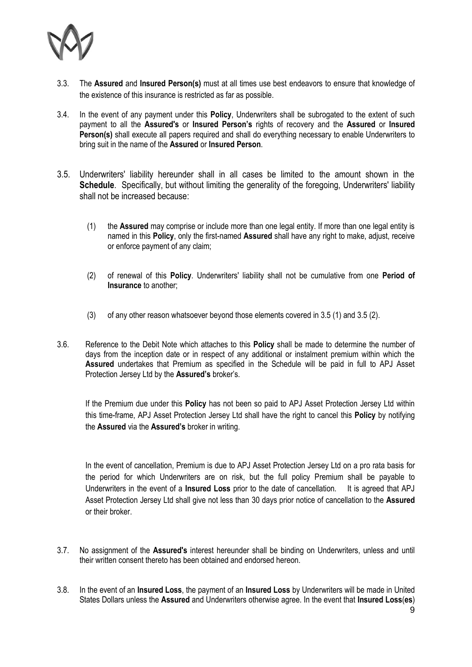

- 3.3. The **Assured** and **Insured Person(s)** must at all times use best endeavors to ensure that knowledge of the existence of this insurance is restricted as far as possible.
- 3.4. In the event of any payment under this **Policy**, Underwriters shall be subrogated to the extent of such payment to all the **Assured's** or **Insured Person's** rights of recovery and the **Assured** or **Insured Person(s)** shall execute all papers required and shall do everything necessary to enable Underwriters to bring suit in the name of the **Assured** or **Insured Person**.
- 3.5. Underwriters' liability hereunder shall in all cases be limited to the amount shown in the **Schedule**. Specifically, but without limiting the generality of the foregoing, Underwriters' liability shall not be increased because:
	- (1) the **Assured** may comprise or include more than one legal entity. If more than one legal entity is named in this **Policy**, only the first-named **Assured** shall have any right to make, adjust, receive or enforce payment of any claim;
	- (2) of renewal of this **Policy**. Underwriters' liability shall not be cumulative from one **Period of Insurance** to another;
	- (3) of any other reason whatsoever beyond those elements covered in 3.5 (1) and 3.5 (2).
- 3.6. Reference to the Debit Note which attaches to this **Policy** shall be made to determine the number of days from the inception date or in respect of any additional or instalment premium within which the **Assured** undertakes that Premium as specified in the Schedule will be paid in full to APJ Asset Protection Jersey Ltd by the **Assured's** broker's.

If the Premium due under this **Policy** has not been so paid to APJ Asset Protection Jersey Ltd within this time-frame, APJ Asset Protection Jersey Ltd shall have the right to cancel this **Policy** by notifying the **Assured** via the **Assured's** broker in writing.

In the event of cancellation, Premium is due to APJ Asset Protection Jersey Ltd on a pro rata basis for the period for which Underwriters are on risk, but the full policy Premium shall be payable to Underwriters in the event of a **Insured Loss** prior to the date of cancellation. It is agreed that APJ Asset Protection Jersey Ltd shall give not less than 30 days prior notice of cancellation to the **Assured** or their broker.

- 3.7. No assignment of the **Assured's** interest hereunder shall be binding on Underwriters, unless and until their written consent thereto has been obtained and endorsed hereon.
- 3.8. In the event of an **Insured Loss**, the payment of an **Insured Loss** by Underwriters will be made in United States Dollars unless the **Assured** and Underwriters otherwise agree. In the event that **Insured Loss**(**es**)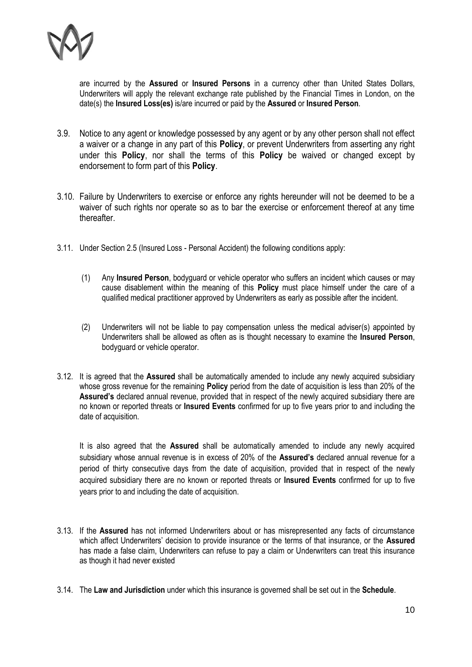

are incurred by the **Assured** or **Insured Persons** in a currency other than United States Dollars, Underwriters will apply the relevant exchange rate published by the Financial Times in London, on the date(s) the **Insured Loss(es)** is/are incurred or paid by the **Assured** or **Insured Person**.

- 3.9. Notice to any agent or knowledge possessed by any agent or by any other person shall not effect a waiver or a change in any part of this **Policy**, or prevent Underwriters from asserting any right under this **Policy**, nor shall the terms of this **Policy** be waived or changed except by endorsement to form part of this **Policy**.
- 3.10. Failure by Underwriters to exercise or enforce any rights hereunder will not be deemed to be a waiver of such rights nor operate so as to bar the exercise or enforcement thereof at any time thereafter.
- 3.11. Under Section 2.5 (Insured Loss Personal Accident) the following conditions apply:
	- (1) Any **Insured Person**, bodyguard or vehicle operator who suffers an incident which causes or may cause disablement within the meaning of this **Policy** must place himself under the care of a qualified medical practitioner approved by Underwriters as early as possible after the incident.
	- (2) Underwriters will not be liable to pay compensation unless the medical adviser(s) appointed by Underwriters shall be allowed as often as is thought necessary to examine the **Insured Person**, bodyguard or vehicle operator.
- 3.12. It is agreed that the **Assured** shall be automatically amended to include any newly acquired subsidiary whose gross revenue for the remaining **Policy** period from the date of acquisition is less than 20% of the **Assured's** declared annual revenue, provided that in respect of the newly acquired subsidiary there are no known or reported threats or **Insured Events** confirmed for up to five years prior to and including the date of acquisition.

It is also agreed that the **Assured** shall be automatically amended to include any newly acquired subsidiary whose annual revenue is in excess of 20% of the **Assured's** declared annual revenue for a period of thirty consecutive days from the date of acquisition, provided that in respect of the newly acquired subsidiary there are no known or reported threats or **Insured Events** confirmed for up to five years prior to and including the date of acquisition.

- 3.13. If the **Assured** has not informed Underwriters about or has misrepresented any facts of circumstance which affect Underwriters' decision to provide insurance or the terms of that insurance, or the **Assured** has made a false claim, Underwriters can refuse to pay a claim or Underwriters can treat this insurance as though it had never existed
- 3.14. The **Law and Jurisdiction** under which this insurance is governed shall be set out in the **Schedule**.